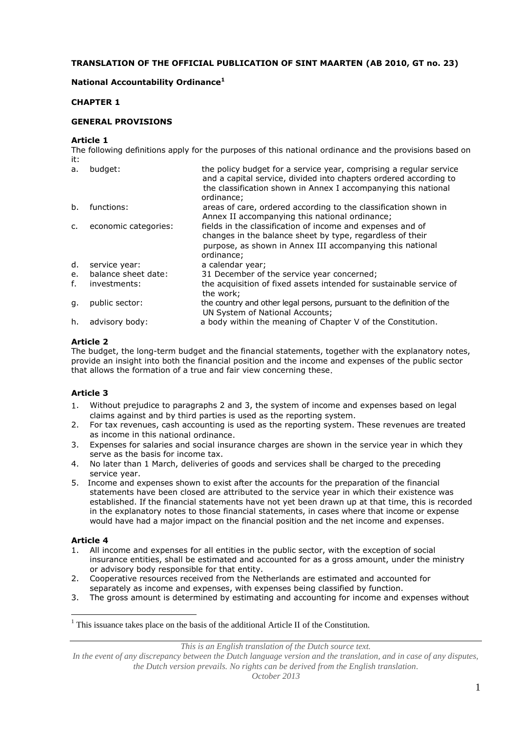# **TRANSLATION OF THE OFFICIAL PUBLICATION OF SINT MAARTEN (AB 2010, GT no. 23)**

# **National Accountability Ordinance<sup>1</sup>**

# **CHAPTER 1**

### **GENERAL PROVISIONS**

#### **Article 1**

The following definitions apply for the purposes of this national ordinance and the provisions based on it:

| a.             | budget:              | the policy budget for a service year, comprising a regular service<br>and a capital service, divided into chapters ordered according to<br>the classification shown in Annex I accompanying this national<br>ordinance; |
|----------------|----------------------|-------------------------------------------------------------------------------------------------------------------------------------------------------------------------------------------------------------------------|
| b.             | functions:           | areas of care, ordered according to the classification shown in<br>Annex II accompanying this national ordinance;                                                                                                       |
| C <sub>1</sub> | economic categories: | fields in the classification of income and expenses and of<br>changes in the balance sheet by type, regardless of their<br>purpose, as shown in Annex III accompanying this national<br>ordinance;                      |
| d.             | service year:        | a calendar year;                                                                                                                                                                                                        |
| e.             | balance sheet date:  | 31 December of the service year concerned;                                                                                                                                                                              |
| f.             | investments:         | the acquisition of fixed assets intended for sustainable service of<br>the work;                                                                                                                                        |
| q.             | public sector:       | the country and other legal persons, pursuant to the definition of the<br>UN System of National Accounts;                                                                                                               |
| h.             | advisory body:       | a body within the meaning of Chapter V of the Constitution.                                                                                                                                                             |

# **Article 2**

The budget, the long-term budget and the financial statements, together with the explanatory notes, provide an insight into both the financial position and the income and expenses of the public sector that allows the formation of a true and fair view concerning these.

# **Article 3**

- 1. Without prejudice to paragraphs 2 and 3, the system of income and expenses based on legal claims against and by third parties is used as the reporting system.
- 2. For tax revenues, cash accounting is used as the reporting system. These revenues are treated as income in this national ordinance.
- 3. Expenses for salaries and social insurance charges are shown in the service year in which they serve as the basis for income tax.
- 4. No later than 1 March, deliveries of goods and services shall be charged to the preceding service year.
- 5. Income and expenses shown to exist after the accounts for the preparation of the financial statements have been closed are attributed to the service year in which their existence was established. If the financial statements have not yet been drawn up at that time, this is recorded in the explanatory notes to those financial statements, in cases where that income or expense would have had a major impact on the financial position and the net income and expenses.

# **Article 4**

 $\overline{a}$ 

- 1. All income and expenses for all entities in the public sector, with the exception of social insurance entities, shall be estimated and accounted for as a gross amount, under the ministry or advisory body responsible for that entity.
- 2. Cooperative resources received from the Netherlands are estimated and accounted for separately as income and expenses, with expenses being classified by function.
- 3. The gross amount is determined by estimating and accounting for income and expenses without

*This is an English translation of the Dutch source text.*

 $<sup>1</sup>$  This issuance takes place on the basis of the additional Article II of the Constitution.</sup>

In the event of any discrepancy between the Dutch language version and the translation, and in case of any disputes, *the Dutch version prevails. No rights can be derived from the English translation.*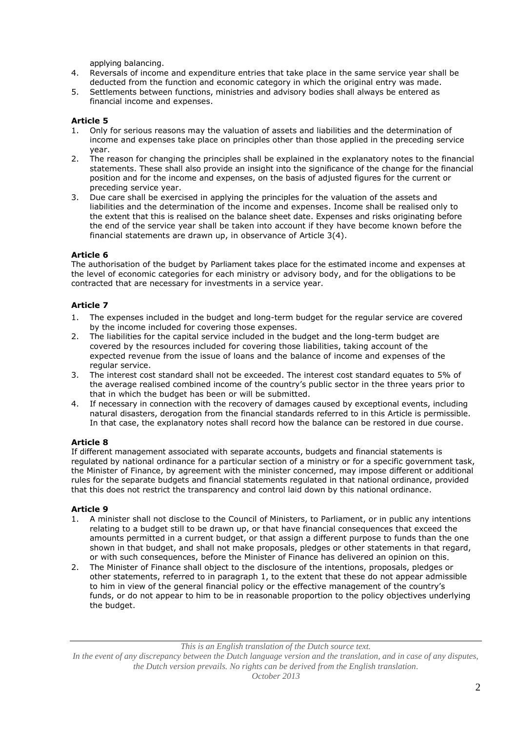applying balancing.

- 4. Reversals of income and expenditure entries that take place in the same service year shall be deducted from the function and economic category in which the original entry was made.
- 5. Settlements between functions, ministries and advisory bodies shall always be entered as financial income and expenses.

# **Article 5**

- 1. Only for serious reasons may the valuation of assets and liabilities and the determination of income and expenses take place on principles other than those applied in the preceding service year.
- 2. The reason for changing the principles shall be explained in the explanatory notes to the financial statements. These shall also provide an insight into the significance of the change for the financial position and for the income and expenses, on the basis of adjusted figures for the current or preceding service year.
- 3. Due care shall be exercised in applying the principles for the valuation of the assets and liabilities and the determination of the income and expenses. Income shall be realised only to the extent that this is realised on the balance sheet date. Expenses and risks originating before the end of the service year shall be taken into account if they have become known before the financial statements are drawn up, in observance of Article 3(4).

# **Article 6**

The authorisation of the budget by Parliament takes place for the estimated income and expenses at the level of economic categories for each ministry or advisory body, and for the obligations to be contracted that are necessary for investments in a service year.

# **Article 7**

- 1. The expenses included in the budget and long-term budget for the regular service are covered by the income included for covering those expenses.
- 2. The liabilities for the capital service included in the budget and the long-term budget are covered by the resources included for covering those liabilities, taking account of the expected revenue from the issue of loans and the balance of income and expenses of the regular service.
- 3. The interest cost standard shall not be exceeded. The interest cost standard equates to 5% of the average realised combined income of the country's public sector in the three years prior to that in which the budget has been or will be submitted.
- 4. If necessary in connection with the recovery of damages caused by exceptional events, including natural disasters, derogation from the financial standards referred to in this Article is permissible. In that case, the explanatory notes shall record how the balance can be restored in due course.

# **Article 8**

If different management associated with separate accounts, budgets and financial statements is regulated by national ordinance for a particular section of a ministry or for a specific government task, the Minister of Finance, by agreement with the minister concerned, may impose different or additional rules for the separate budgets and financial statements regulated in that national ordinance, provided that this does not restrict the transparency and control laid down by this national ordinance.

# **Article 9**

- 1. A minister shall not disclose to the Council of Ministers, to Parliament, or in public any intentions relating to a budget still to be drawn up, or that have financial consequences that exceed the amounts permitted in a current budget, or that assign a different purpose to funds than the one shown in that budget, and shall not make proposals, pledges or other statements in that regard, or with such consequences, before the Minister of Finance has delivered an opinion on this.
- 2. The Minister of Finance shall object to the disclosure of the intentions, proposals, pledges or other statements, referred to in paragraph 1, to the extent that these do not appear admissible to him in view of the general financial policy or the effective management of the country's funds, or do not appear to him to be in reasonable proportion to the policy objectives underlying the budget.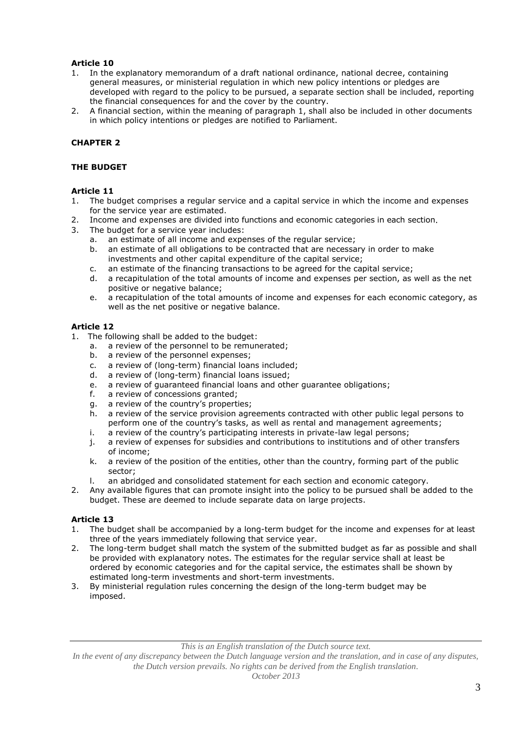- 1. In the explanatory memorandum of a draft national ordinance, national decree, containing general measures, or ministerial regulation in which new policy intentions or pledges are developed with regard to the policy to be pursued, a separate section shall be included, reporting the financial consequences for and the cover by the country.
- 2. A financial section, within the meaning of paragraph 1, shall also be included in other documents in which policy intentions or pledges are notified to Parliament.

# **CHAPTER 2**

### **THE BUDGET**

### **Article 11**

- 1. The budget comprises a regular service and a capital service in which the income and expenses for the service year are estimated.
- 2. Income and expenses are divided into functions and economic categories in each section.
- 3. The budget for a service year includes:
	- a. an estimate of all income and expenses of the regular service;
		- b. an estimate of all obligations to be contracted that are necessary in order to make investments and other capital expenditure of the capital service;
		- c. an estimate of the financing transactions to be agreed for the capital service;
		- d. a recapitulation of the total amounts of income and expenses per section, as well as the net positive or negative balance;
		- e. a recapitulation of the total amounts of income and expenses for each economic category, as well as the net positive or negative balance.

# **Article 12**

- 1. The following shall be added to the budget:
	- a. a review of the personnel to be remunerated;
	- b. a review of the personnel expenses;
	- c. a review of (long-term) financial loans included;<br>d. a review of (long-term) financial loans issued:
	- d. a review of (long-term) financial loans issued;<br>e. a review of quaranteed financial loans and othe
	- e. a review of guaranteed financial loans and other guarantee obligations;<br>f. a review of concessions granted:
	- a review of concessions granted;
	- g. a review of the country's properties;
	- h. a review of the service provision agreements contracted with other public legal persons to perform one of the country's tasks, as well as rental and management agreements;
	- i. a review of the country's participating interests in private-law legal persons;
	- j. a review of expenses for subsidies and contributions to institutions and of other transfers of income;
	- k. a review of the position of the entities, other than the country, forming part of the public sector;
	- l. an abridged and consolidated statement for each section and economic category.
- 2. Any available figures that can promote insight into the policy to be pursued shall be added to the budget. These are deemed to include separate data on large projects.

# **Article 13**

- 1. The budget shall be accompanied by a long-term budget for the income and expenses for at least three of the years immediately following that service year.
- 2. The long-term budget shall match the system of the submitted budget as far as possible and shall be provided with explanatory notes. The estimates for the regular service shall at least be ordered by economic categories and for the capital service, the estimates shall be shown by estimated long-term investments and short-term investments.
- 3. By ministerial regulation rules concerning the design of the long-term budget may be imposed.

*This is an English translation of the Dutch source text.*

In the event of any discrepancy between the Dutch language version and the translation, and in case of any disputes, *the Dutch version prevails. No rights can be derived from the English translation.*

*October 2013*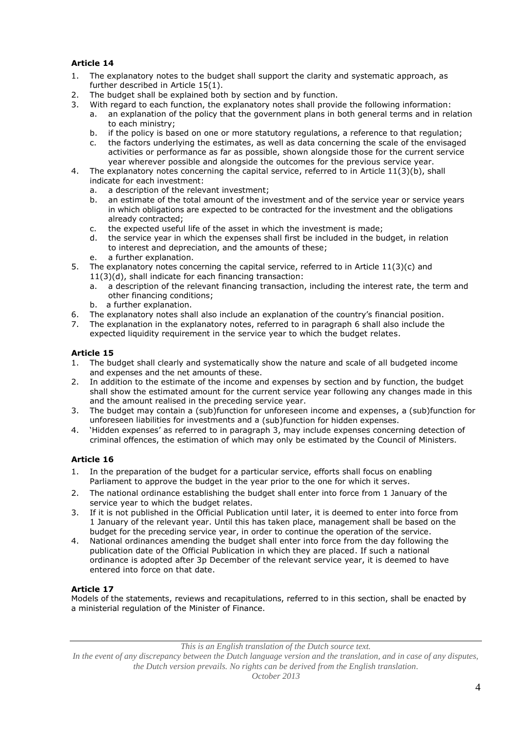- 1. The explanatory notes to the budget shall support the clarity and systematic approach, as further described in Article 15(1).
- 2. The budget shall be explained both by section and by function.
- 3. With regard to each function, the explanatory notes shall provide the following information:
	- a. an explanation of the policy that the government plans in both general terms and in relation to each ministry;
	- b. if the policy is based on one or more statutory regulations, a reference to that regulation;
	- c. the factors underlying the estimates, as well as data concerning the scale of the envisaged activities or performance as far as possible, shown alongside those for the current service year wherever possible and alongside the outcomes for the previous service year.
- 4. The explanatory notes concerning the capital service, referred to in Article 11(3)(b), shall indicate for each investment:
	- a. a description of the relevant investment;
	- b. an estimate of the total amount of the investment and of the service year or service years in which obligations are expected to be contracted for the investment and the obligations already contracted;
	- c. the expected useful life of the asset in which the investment is made;
	- d. the service year in which the expenses shall first be included in the budget, in relation to interest and depreciation, and the amounts of these;
	- e. a further explanation.
- 5. The explanatory notes concerning the capital service, referred to in Article 11(3)(c) and 11(3)(d), shall indicate for each financing transaction:
	- a. a description of the relevant financing transaction, including the interest rate, the term and other financing conditions;
	- b. a further explanation.
- 6. The explanatory notes shall also include an explanation of the country's financial position.
- 7. The explanation in the explanatory notes, referred to in paragraph 6 shall also include the expected liquidity requirement in the service year to which the budget relates.

# **Article 15**

- 1. The budget shall clearly and systematically show the nature and scale of all budgeted income and expenses and the net amounts of these.
- 2. In addition to the estimate of the income and expenses by section and by function, the budget shall show the estimated amount for the current service year following any changes made in this and the amount realised in the preceding service year.
- 3. The budget may contain a (sub)function for unforeseen income and expenses, a (sub)function for unforeseen liabilities for investments and a (sub)function for hidden expenses.
- 4. 'Hidden expenses' as referred to in paragraph 3, may include expenses concerning detection of criminal offences, the estimation of which may only be estimated by the Council of Ministers.

# **Article 16**

- 1. In the preparation of the budget for a particular service, efforts shall focus on enabling Parliament to approve the budget in the year prior to the one for which it serves.
- 2. The national ordinance establishing the budget shall enter into force from 1 January of the service year to which the budget relates.
- 3. If it is not published in the Official Publication until later, it is deemed to enter into force from 1 January of the relevant year. Until this has taken place, management shall be based on the budget for the preceding service year, in order to continue the operation of the service.
- 4. National ordinances amending the budget shall enter into force from the day following the publication date of the Official Publication in which they are placed. If such a national ordinance is adopted after 3p December of the relevant service year, it is deemed to have entered into force on that date.

# **Article 17**

Models of the statements, reviews and recapitulations, referred to in this section, shall be enacted by a ministerial regulation of the Minister of Finance.

*This is an English translation of the Dutch source text.*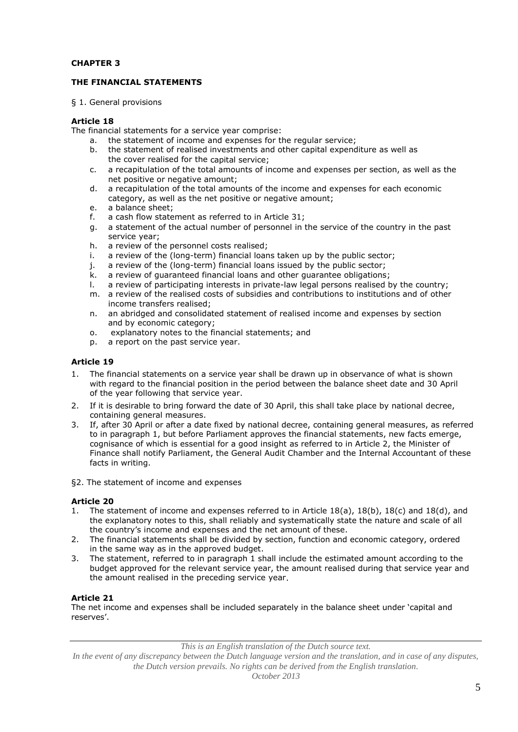# **CHAPTER 3**

### **THE FINANCIAL STATEMENTS**

§ 1. General provisions

### **Article 18**

The financial statements for a service year comprise:

- a. the statement of income and expenses for the regular service;
- b. the statement of realised investments and other capital expenditure as well as the cover realised for the capital service;
- c. a recapitulation of the total amounts of income and expenses per section, as well as the net positive or negative amount;
- d. a recapitulation of the total amounts of the income and expenses for each economic category, as well as the net positive or negative amount;
- e. a balance sheet;
- f. a cash flow statement as referred to in Article 31;
- g. a statement of the actual number of personnel in the service of the country in the past service year;
- h. a review of the personnel costs realised;
- i. a review of the (long-term) financial loans taken up by the public sector;
- j. a review of the (long-term) financial loans issued by the public sector;
- k. a review of guaranteed financial loans and other guarantee obligations;
- l. a review of participating interests in private-law legal persons realised by the country;
- m. a review of the realised costs of subsidies and contributions to institutions and of other income transfers realised;
- n. an abridged and consolidated statement of realised income and expenses by section and by economic category;
- o. explanatory notes to the financial statements; and
- p. a report on the past service year.

#### **Article 19**

- 1. The financial statements on a service year shall be drawn up in observance of what is shown with regard to the financial position in the period between the balance sheet date and 30 April of the year following that service year.
- 2. If it is desirable to bring forward the date of 30 April, this shall take place by national decree, containing general measures.
- 3. If, after 30 April or after a date fixed by national decree, containing general measures, as referred to in paragraph 1, but before Parliament approves the financial statements, new facts emerge, cognisance of which is essential for a good insight as referred to in Article 2, the Minister of Finance shall notify Parliament, the General Audit Chamber and the Internal Accountant of these facts in writing.
- §2. The statement of income and expenses

#### **Article 20**

- 1. The statement of income and expenses referred to in Article 18(a), 18(b), 18(c) and 18(d), and the explanatory notes to this, shall reliably and systematically state the nature and scale of all the country's income and expenses and the net amount of these.
- 2. The financial statements shall be divided by section, function and economic category, ordered in the same way as in the approved budget.
- 3. The statement, referred to in paragraph 1 shall include the estimated amount according to the budget approved for the relevant service year, the amount realised during that service year and the amount realised in the preceding service year.

#### **Article 21**

The net income and expenses shall be included separately in the balance sheet under 'capital and reserves'.

*This is an English translation of the Dutch source text.*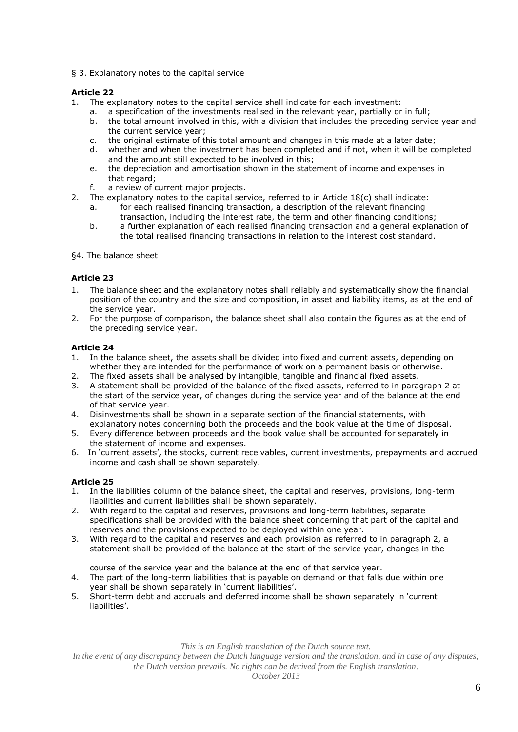§ 3. Explanatory notes to the capital service

# **Article 22**

- 1. The explanatory notes to the capital service shall indicate for each investment:
	- a. a specification of the investments realised in the relevant year, partially or in full;<br>b. the total amount involved in this, with a division that includes the preceding service
	- the total amount involved in this, with a division that includes the preceding service year and the current service year;
	- c. the original estimate of this total amount and changes in this made at a later date;
	- d. whether and when the investment has been completed and if not, when it will be completed and the amount still expected to be involved in this;
	- e. the depreciation and amortisation shown in the statement of income and expenses in that regard;
	- f. a review of current major projects.
- 2. The explanatory notes to the capital service, referred to in Article 18(c) shall indicate:
	- a. for each realised financing transaction, a description of the relevant financing transaction, including the interest rate, the term and other financing conditions;
	- b. a further explanation of each realised financing transaction and a general explanation of the total realised financing transactions in relation to the interest cost standard.
- §4. The balance sheet

# **Article 23**

- 1. The balance sheet and the explanatory notes shall reliably and systematically show the financial position of the country and the size and composition, in asset and liability items, as at the end of the service year.
- 2. For the purpose of comparison, the balance sheet shall also contain the figures as at the end of the preceding service year.

# **Article 24**

- 1. In the balance sheet, the assets shall be divided into fixed and current assets, depending on whether they are intended for the performance of work on a permanent basis or otherwise.
- 2. The fixed assets shall be analysed by intangible, tangible and financial fixed assets.
- 3. A statement shall be provided of the balance of the fixed assets, referred to in paragraph 2 at the start of the service year, of changes during the service year and of the balance at the end of that service year.
- 4. Disinvestments shall be shown in a separate section of the financial statements, with explanatory notes concerning both the proceeds and the book value at the time of disposal.
- 5. Every difference between proceeds and the book value shall be accounted for separately in the statement of income and expenses.
- 6. In 'current assets', the stocks, current receivables, current investments, prepayments and accrued income and cash shall be shown separately.

# **Article 25**

- 1. In the liabilities column of the balance sheet, the capital and reserves, provisions, long-term liabilities and current liabilities shall be shown separately.
- 2. With regard to the capital and reserves, provisions and long-term liabilities, separate specifications shall be provided with the balance sheet concerning that part of the capital and reserves and the provisions expected to be deployed within one year.
- 3. With regard to the capital and reserves and each provision as referred to in paragraph 2, a statement shall be provided of the balance at the start of the service year, changes in the

course of the service year and the balance at the end of that service year.

- 4. The part of the long-term liabilities that is payable on demand or that falls due within one year shall be shown separately in 'current liabilities'.
- 5. Short-term debt and accruals and deferred income shall be shown separately in 'current liabilities'.

*This is an English translation of the Dutch source text.*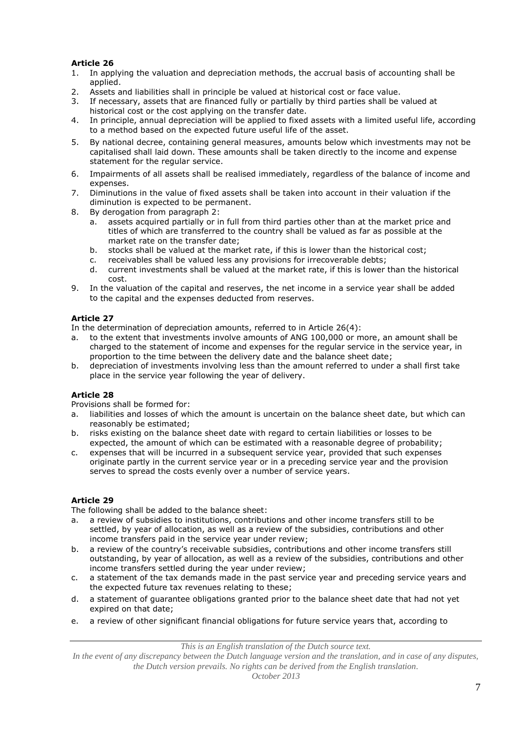- 1. In applying the valuation and depreciation methods, the accrual basis of accounting shall be applied.
- 2. Assets and liabilities shall in principle be valued at historical cost or face value.
- 3. If necessary, assets that are financed fully or partially by third parties shall be valued at historical cost or the cost applying on the transfer date.
- 4. In principle, annual depreciation will be applied to fixed assets with a limited useful life, according to a method based on the expected future useful life of the asset.
- 5. By national decree, containing general measures, amounts below which investments may not be capitalised shall laid down. These amounts shall be taken directly to the income and expense statement for the regular service.
- 6. Impairments of all assets shall be realised immediately, regardless of the balance of income and expenses.
- 7. Diminutions in the value of fixed assets shall be taken into account in their valuation if the diminution is expected to be permanent.
- 8. By derogation from paragraph 2:
	- a. assets acquired partially or in full from third parties other than at the market price and titles of which are transferred to the country shall be valued as far as possible at the market rate on the transfer date;
	- b. stocks shall be valued at the market rate, if this is lower than the historical cost;
	- c. receivables shall be valued less any provisions for irrecoverable debts;
	- d. current investments shall be valued at the market rate, if this is lower than the historical cost.
- 9. In the valuation of the capital and reserves, the net income in a service year shall be added to the capital and the expenses deducted from reserves.

# **Article 27**

In the determination of depreciation amounts, referred to in Article 26(4):

- a. to the extent that investments involve amounts of ANG 100,000 or more, an amount shall be charged to the statement of income and expenses for the regular service in the service year, in proportion to the time between the delivery date and the balance sheet date;
- b. depreciation of investments involving less than the amount referred to under a shall first take place in the service year following the year of delivery.

# **Article 28**

Provisions shall be formed for:

- a. liabilities and losses of which the amount is uncertain on the balance sheet date, but which can reasonably be estimated;
- b. risks existing on the balance sheet date with regard to certain liabilities or losses to be expected, the amount of which can be estimated with a reasonable degree of probability;
- c. expenses that will be incurred in a subsequent service year, provided that such expenses originate partly in the current service year or in a preceding service year and the provision serves to spread the costs evenly over a number of service years.

# **Article 29**

The following shall be added to the balance sheet:

- a. a review of subsidies to institutions, contributions and other income transfers still to be settled, by year of allocation, as well as a review of the subsidies, contributions and other income transfers paid in the service year under review;
- b. a review of the country's receivable subsidies, contributions and other income transfers still outstanding, by year of allocation, as well as a review of the subsidies, contributions and other income transfers settled during the year under review;
- c. a statement of the tax demands made in the past service year and preceding service years and the expected future tax revenues relating to these;
- d. a statement of guarantee obligations granted prior to the balance sheet date that had not yet expired on that date;
- e. a review of other significant financial obligations for future service years that, according to

*This is an English translation of the Dutch source text.*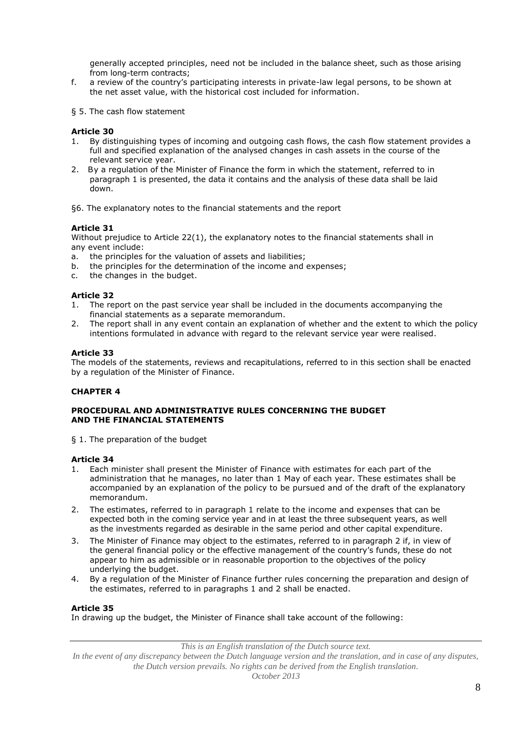generally accepted principles, need not be included in the balance sheet, such as those arising from long-term contracts;

- f. a review of the country's participating interests in private-law legal persons, to be shown at the net asset value, with the historical cost included for information.
- § 5. The cash flow statement

### **Article 30**

- 1. By distinguishing types of incoming and outgoing cash flows, the cash flow statement provides a full and specified explanation of the analysed changes in cash assets in the course of the relevant service year.
- 2. By a regulation of the Minister of Finance the form in which the statement, referred to in paragraph 1 is presented, the data it contains and the analysis of these data shall be laid down.

§6. The explanatory notes to the financial statements and the report

### **Article 31**

Without prejudice to Article 22(1), the explanatory notes to the financial statements shall in any event include:

- a. the principles for the valuation of assets and liabilities;
- b. the principles for the determination of the income and expenses;
- c. the changes in the budget.

#### **Article 32**

- 1. The report on the past service year shall be included in the documents accompanying the financial statements as a separate memorandum.
- 2. The report shall in any event contain an explanation of whether and the extent to which the policy intentions formulated in advance with regard to the relevant service year were realised.

#### **Article 33**

The models of the statements, reviews and recapitulations, referred to in this section shall be enacted by a regulation of the Minister of Finance.

# **CHAPTER 4**

### **PROCEDURAL AND ADMINISTRATIVE RULES CONCERNING THE BUDGET AND THE FINANCIAL STATEMENTS**

§ 1. The preparation of the budget

#### **Article 34**

- 1. Each minister shall present the Minister of Finance with estimates for each part of the administration that he manages, no later than 1 May of each year. These estimates shall be accompanied by an explanation of the policy to be pursued and of the draft of the explanatory memorandum.
- 2. The estimates, referred to in paragraph 1 relate to the income and expenses that can be expected both in the coming service year and in at least the three subsequent years, as well as the investments regarded as desirable in the same period and other capital expenditure.
- 3. The Minister of Finance may object to the estimates, referred to in paragraph 2 if, in view of the general financial policy or the effective management of the country's funds, these do not appear to him as admissible or in reasonable proportion to the objectives of the policy underlying the budget.
- 4. By a regulation of the Minister of Finance further rules concerning the preparation and design of the estimates, referred to in paragraphs 1 and 2 shall be enacted.

#### **Article 35**

In drawing up the budget, the Minister of Finance shall take account of the following:

*This is an English translation of the Dutch source text.*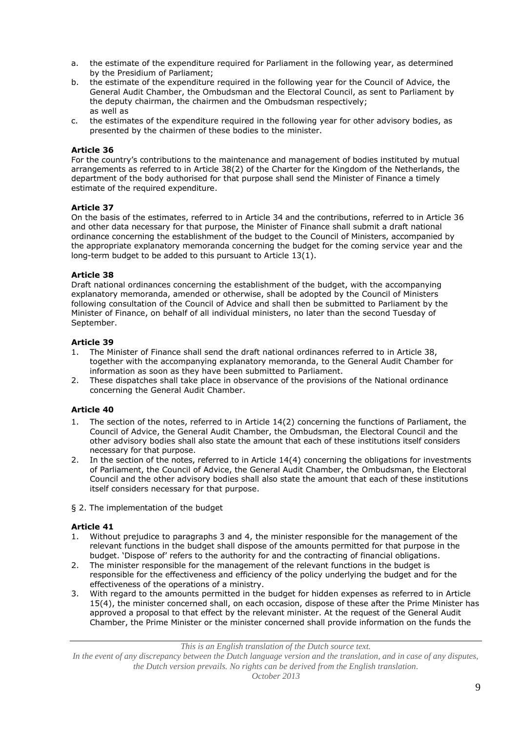- a. the estimate of the expenditure required for Parliament in the following year, as determined by the Presidium of Parliament;
- b. the estimate of the expenditure required in the following year for the Council of Advice, the General Audit Chamber, the Ombudsman and the Electoral Council, as sent to Parliament by the deputy chairman, the chairmen and the Ombudsman respectively; as well as
- c. the estimates of the expenditure required in the following year for other advisory bodies, as presented by the chairmen of these bodies to the minister.

For the country's contributions to the maintenance and management of bodies instituted by mutual arrangements as referred to in Article 38(2) of the Charter for the Kingdom of the Netherlands, the department of the body authorised for that purpose shall send the Minister of Finance a timely estimate of the required expenditure.

# **Article 37**

On the basis of the estimates, referred to in Article 34 and the contributions, referred to in Article 36 and other data necessary for that purpose, the Minister of Finance shall submit a draft national ordinance concerning the establishment of the budget to the Council of Ministers, accompanied by the appropriate explanatory memoranda concerning the budget for the coming service year and the long-term budget to be added to this pursuant to Article 13(1).

# **Article 38**

Draft national ordinances concerning the establishment of the budget, with the accompanying explanatory memoranda, amended or otherwise, shall be adopted by the Council of Ministers following consultation of the Council of Advice and shall then be submitted to Parliament by the Minister of Finance, on behalf of all individual ministers, no later than the second Tuesday of September.

# **Article 39**

- 1. The Minister of Finance shall send the draft national ordinances referred to in Article 38, together with the accompanying explanatory memoranda, to the General Audit Chamber for information as soon as they have been submitted to Parliament.
- 2. These dispatches shall take place in observance of the provisions of the National ordinance concerning the General Audit Chamber.

# **Article 40**

- 1. The section of the notes, referred to in Article 14(2) concerning the functions of Parliament, the Council of Advice, the General Audit Chamber, the Ombudsman, the Electoral Council and the other advisory bodies shall also state the amount that each of these institutions itself considers necessary for that purpose.
- 2. In the section of the notes, referred to in Article 14(4) concerning the obligations for investments of Parliament, the Council of Advice, the General Audit Chamber, the Ombudsman, the Electoral Council and the other advisory bodies shall also state the amount that each of these institutions itself considers necessary for that purpose.
- § 2. The implementation of the budget

# **Article 41**

- 1. Without prejudice to paragraphs 3 and 4, the minister responsible for the management of the relevant functions in the budget shall dispose of the amounts permitted for that purpose in the budget. 'Dispose of' refers to the authority for and the contracting of financial obligations.
- 2. The minister responsible for the management of the relevant functions in the budget is responsible for the effectiveness and efficiency of the policy underlying the budget and for the effectiveness of the operations of a ministry.
- 3. With regard to the amounts permitted in the budget for hidden expenses as referred to in Article 15(4), the minister concerned shall, on each occasion, dispose of these after the Prime Minister has approved a proposal to that effect by the relevant minister. At the request of the General Audit Chamber, the Prime Minister or the minister concerned shall provide information on the funds the

*This is an English translation of the Dutch source text.*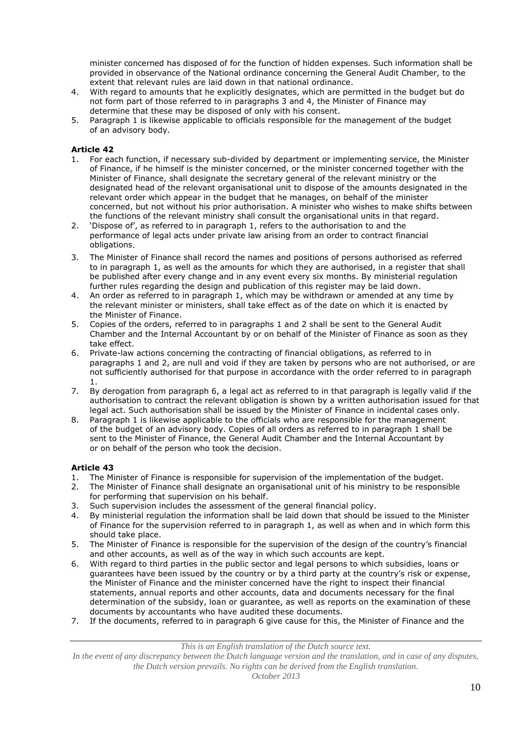minister concerned has disposed of for the function of hidden expenses. Such information shall be provided in observance of the National ordinance concerning the General Audit Chamber, to the extent that relevant rules are laid down in that national ordinance.

- 4. With regard to amounts that he explicitly designates, which are permitted in the budget but do not form part of those referred to in paragraphs 3 and 4, the Minister of Finance may determine that these may be disposed of only with his consent.
- 5. Paragraph 1 is likewise applicable to officials responsible for the management of the budget of an advisory body.

# **Article 42**

- 1. For each function, if necessary sub-divided by department or implementing service, the Minister of Finance, if he himself is the minister concerned, or the minister concerned together with the Minister of Finance, shall designate the secretary general of the relevant ministry or the designated head of the relevant organisational unit to dispose of the amounts designated in the relevant order which appear in the budget that he manages, on behalf of the minister concerned, but not without his prior authorisation. A minister who wishes to make shifts between the functions of the relevant ministry shall consult the organisational units in that regard.
- 2. 'Dispose of', as referred to in paragraph 1, refers to the authorisation to and the performance of legal acts under private law arising from an order to contract financial obligations.
- 3. The Minister of Finance shall record the names and positions of persons authorised as referred to in paragraph 1, as well as the amounts for which they are authorised, in a register that shall be published after every change and in any event every six months. By ministerial regulation further rules regarding the design and publication of this register may be laid down.
- 4. An order as referred to in paragraph 1, which may be withdrawn or amended at any time by the relevant minister or ministers, shall take effect as of the date on which it is enacted by the Minister of Finance.
- 5. Copies of the orders, referred to in paragraphs 1 and 2 shall be sent to the General Audit Chamber and the Internal Accountant by or on behalf of the Minister of Finance as soon as they take effect.
- 6. Private-law actions concerning the contracting of financial obligations, as referred to in paragraphs 1 and 2, are null and void if they are taken by persons who are not authorised, or are not sufficiently authorised for that purpose in accordance with the order referred to in paragraph 1.
- 7. By derogation from paragraph 6, a legal act as referred to in that paragraph is legally valid if the authorisation to contract the relevant obligation is shown by a written authorisation issued for that legal act. Such authorisation shall be issued by the Minister of Finance in incidental cases only.
- 8. Paragraph 1 is likewise applicable to the officials who are responsible for the management of the budget of an advisory body. Copies of all orders as referred to in paragraph 1 shall be sent to the Minister of Finance, the General Audit Chamber and the Internal Accountant by or on behalf of the person who took the decision.

# **Article 43**

- 1. The Minister of Finance is responsible for supervision of the implementation of the budget.
- 2. The Minister of Finance shall designate an organisational unit of his ministry to be responsible for performing that supervision on his behalf.
- 3. Such supervision includes the assessment of the general financial policy.
- 4. By ministerial regulation the information shall be laid down that should be issued to the Minister of Finance for the supervision referred to in paragraph 1, as well as when and in which form this should take place.
- 5. The Minister of Finance is responsible for the supervision of the design of the country's financial and other accounts, as well as of the way in which such accounts are kept.
- 6. With regard to third parties in the public sector and legal persons to which subsidies, loans or guarantees have been issued by the country or by a third party at the country's risk or expense, the Minister of Finance and the minister concerned have the right to inspect their financial statements, annual reports and other accounts, data and documents necessary for the final determination of the subsidy, loan or guarantee, as well as reports on the examination of these documents by accountants who have audited these documents.
- 7. If the documents, referred to in paragraph 6 give cause for this, the Minister of Finance and the

*This is an English translation of the Dutch source text.*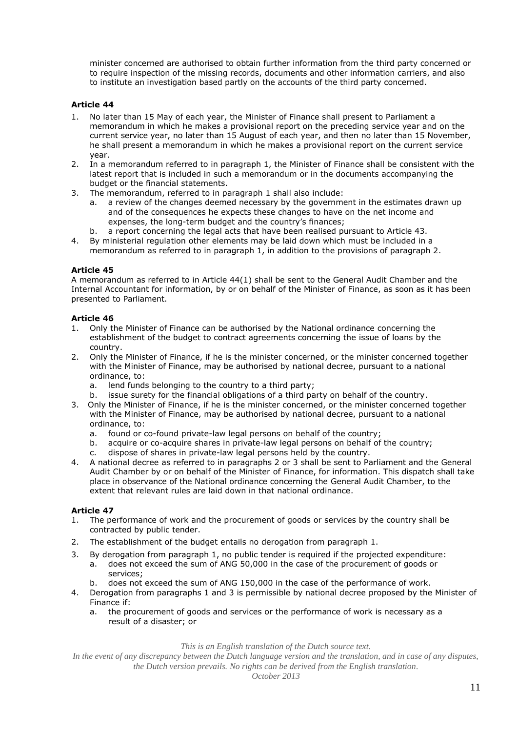minister concerned are authorised to obtain further information from the third party concerned or to require inspection of the missing records, documents and other information carriers, and also to institute an investigation based partly on the accounts of the third party concerned.

# **Article 44**

- 1. No later than 15 May of each year, the Minister of Finance shall present to Parliament a memorandum in which he makes a provisional report on the preceding service year and on the current service year, no later than 15 August of each year, and then no later than 15 November, he shall present a memorandum in which he makes a provisional report on the current service year.
- 2. In a memorandum referred to in paragraph 1, the Minister of Finance shall be consistent with the latest report that is included in such a memorandum or in the documents accompanying the budget or the financial statements.
- 3. The memorandum, referred to in paragraph 1 shall also include:
	- a. a review of the changes deemed necessary by the government in the estimates drawn up and of the consequences he expects these changes to have on the net income and expenses, the long-term budget and the country's finances;
	- b. a report concerning the legal acts that have been realised pursuant to Article 43.
- 4. By ministerial regulation other elements may be laid down which must be included in a memorandum as referred to in paragraph 1, in addition to the provisions of paragraph 2.

### **Article 45**

A memorandum as referred to in Article 44(1) shall be sent to the General Audit Chamber and the Internal Accountant for information, by or on behalf of the Minister of Finance, as soon as it has been presented to Parliament.

### **Article 46**

- 1. Only the Minister of Finance can be authorised by the National ordinance concerning the establishment of the budget to contract agreements concerning the issue of loans by the country.
- 2. Only the Minister of Finance, if he is the minister concerned, or the minister concerned together with the Minister of Finance, may be authorised by national decree, pursuant to a national ordinance, to:
	- a. lend funds belonging to the country to a third party;
	- b. issue surety for the financial obligations of a third party on behalf of the country.
- 3. Only the Minister of Finance, if he is the minister concerned, or the minister concerned together with the Minister of Finance, may be authorised by national decree, pursuant to a national ordinance, to:
	- a. found or co-found private-law legal persons on behalf of the country;
	- b. acquire or co-acquire shares in private-law legal persons on behalf of the country;
	- c. dispose of shares in private-law legal persons held by the country.
- 4. A national decree as referred to in paragraphs 2 or 3 shall be sent to Parliament and the General Audit Chamber by or on behalf of the Minister of Finance, for information. This dispatch shall take place in observance of the National ordinance concerning the General Audit Chamber, to the extent that relevant rules are laid down in that national ordinance.

# **Article 47**

- 1. The performance of work and the procurement of goods or services by the country shall be contracted by public tender.
- 2. The establishment of the budget entails no derogation from paragraph 1.
- 3. By derogation from paragraph 1, no public tender is required if the projected expenditure:
	- a. does not exceed the sum of ANG 50,000 in the case of the procurement of goods or services;
	- b. does not exceed the sum of ANG 150,000 in the case of the performance of work.
- 4. Derogation from paragraphs 1 and 3 is permissible by national decree proposed by the Minister of Finance if:
	- a. the procurement of goods and services or the performance of work is necessary as a result of a disaster; or

*This is an English translation of the Dutch source text.*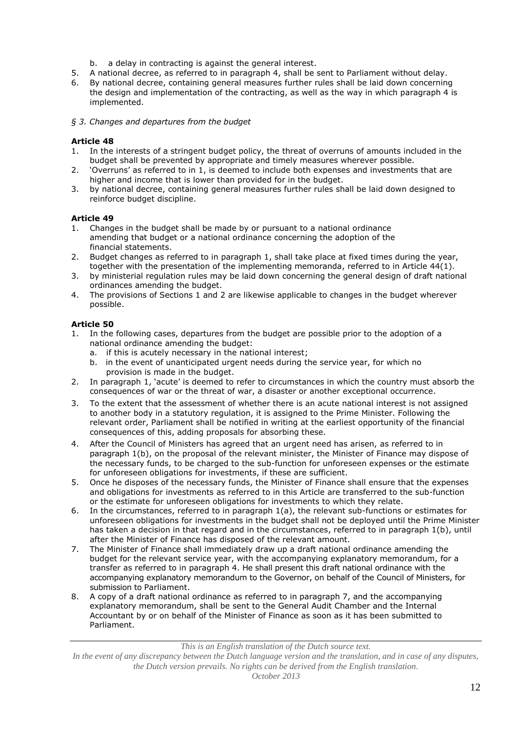- b. a delay in contracting is against the general interest.
- 5. A national decree, as referred to in paragraph 4, shall be sent to Parliament without delay.
- 6. By national decree, containing general measures further rules shall be laid down concerning the design and implementation of the contracting, as well as the way in which paragraph 4 is implemented.
- *§ 3. Changes and departures from the budget*

- 1. In the interests of a stringent budget policy, the threat of overruns of amounts included in the budget shall be prevented by appropriate and timely measures wherever possible.
- 2. 'Overruns' as referred to in 1, is deemed to include both expenses and investments that are higher and income that is lower than provided for in the budget.
- 3. by national decree, containing general measures further rules shall be laid down designed to reinforce budget discipline.

# **Article 49**

- 1. Changes in the budget shall be made by or pursuant to a national ordinance amending that budget or a national ordinance concerning the adoption of the financial statements.
- 2. Budget changes as referred to in paragraph 1, shall take place at fixed times during the year, together with the presentation of the implementing memoranda, referred to in Article 44(1).
- 3. by ministerial regulation rules may be laid down concerning the general design of draft national ordinances amending the budget.
- 4. The provisions of Sections 1 and 2 are likewise applicable to changes in the budget wherever possible.

### **Article 50**

- 1. In the following cases, departures from the budget are possible prior to the adoption of a national ordinance amending the budget:
	- a. if this is acutely necessary in the national interest;
	- b. in the event of unanticipated urgent needs during the service year, for which no provision is made in the budget.
- 2. In paragraph 1, 'acute' is deemed to refer to circumstances in which the country must absorb the consequences of war or the threat of war, a disaster or another exceptional occurrence.
- 3. To the extent that the assessment of whether there is an acute national interest is not assigned to another body in a statutory regulation, it is assigned to the Prime Minister. Following the relevant order, Parliament shall be notified in writing at the earliest opportunity of the financial consequences of this, adding proposals for absorbing these.
- 4. After the Council of Ministers has agreed that an urgent need has arisen, as referred to in paragraph 1(b), on the proposal of the relevant minister, the Minister of Finance may dispose of the necessary funds, to be charged to the sub-function for unforeseen expenses or the estimate for unforeseen obligations for investments, if these are sufficient.
- 5. Once he disposes of the necessary funds, the Minister of Finance shall ensure that the expenses and obligations for investments as referred to in this Article are transferred to the sub-function or the estimate for unforeseen obligations for investments to which they relate.
- 6. In the circumstances, referred to in paragraph 1(a), the relevant sub-functions or estimates for unforeseen obligations for investments in the budget shall not be deployed until the Prime Minister has taken a decision in that regard and in the circumstances, referred to in paragraph 1(b), until after the Minister of Finance has disposed of the relevant amount.
- 7. The Minister of Finance shall immediately draw up a draft national ordinance amending the budget for the relevant service year, with the accompanying explanatory memorandum, for a transfer as referred to in paragraph 4. He shall present this draft national ordinance with the accompanying explanatory memorandum to the Governor, on behalf of the Council of Ministers, for submission to Parliament.
- 8. A copy of a draft national ordinance as referred to in paragraph 7, and the accompanying explanatory memorandum, shall be sent to the General Audit Chamber and the Internal Accountant by or on behalf of the Minister of Finance as soon as it has been submitted to Parliament.

*This is an English translation of the Dutch source text.*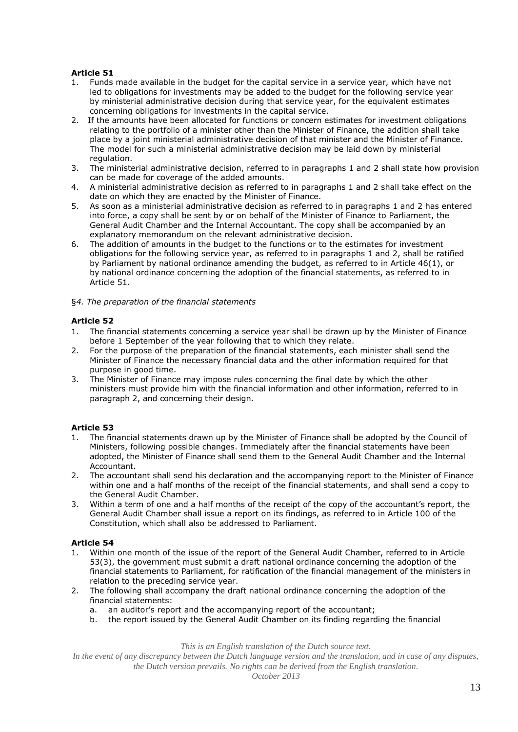- 1. Funds made available in the budget for the capital service in a service year, which have not led to obligations for investments may be added to the budget for the following service year by ministerial administrative decision during that service year, for the equivalent estimates concerning obligations for investments in the capital service.
- 2. If the amounts have been allocated for functions or concern estimates for investment obligations relating to the portfolio of a minister other than the Minister of Finance, the addition shall take place by a joint ministerial administrative decision of that minister and the Minister of Finance. The model for such a ministerial administrative decision may be laid down by ministerial regulation.
- 3. The ministerial administrative decision, referred to in paragraphs 1 and 2 shall state how provision can be made for coverage of the added amounts.
- 4. A ministerial administrative decision as referred to in paragraphs 1 and 2 shall take effect on the date on which they are enacted by the Minister of Finance.
- 5. As soon as a ministerial administrative decision as referred to in paragraphs 1 and 2 has entered into force, a copy shall be sent by or on behalf of the Minister of Finance to Parliament, the General Audit Chamber and the Internal Accountant. The copy shall be accompanied by an explanatory memorandum on the relevant administrative decision.
- 6. The addition of amounts in the budget to the functions or to the estimates for investment obligations for the following service year, as referred to in paragraphs 1 and 2, shall be ratified by Parliament by national ordinance amending the budget, as referred to in Article 46(1), or by national ordinance concerning the adoption of the financial statements, as referred to in Article 51.
- §*4. The preparation of the financial statements*

# **Article 52**

- 1. The financial statements concerning a service year shall be drawn up by the Minister of Finance before 1 September of the year following that to which they relate.
- 2. For the purpose of the preparation of the financial statements, each minister shall send the Minister of Finance the necessary financial data and the other information required for that purpose in good time.
- 3. The Minister of Finance may impose rules concerning the final date by which the other ministers must provide him with the financial information and other information, referred to in paragraph 2, and concerning their design.

# **Article 53**

- 1. The financial statements drawn up by the Minister of Finance shall be adopted by the Council of Ministers, following possible changes. Immediately after the financial statements have been adopted, the Minister of Finance shall send them to the General Audit Chamber and the Internal Accountant.
- 2. The accountant shall send his declaration and the accompanying report to the Minister of Finance within one and a half months of the receipt of the financial statements, and shall send a copy to the General Audit Chamber.
- 3. Within a term of one and a half months of the receipt of the copy of the accountant's report, the General Audit Chamber shall issue a report on its findings, as referred to in Article 100 of the Constitution, which shall also be addressed to Parliament.

# **Article 54**

- 1. Within one month of the issue of the report of the General Audit Chamber, referred to in Article 53(3), the government must submit a draft national ordinance concerning the adoption of the financial statements to Parliament, for ratification of the financial management of the ministers in relation to the preceding service year.
- 2. The following shall accompany the draft national ordinance concerning the adoption of the financial statements:
	- a. an auditor's report and the accompanying report of the accountant;
	- b. the report issued by the General Audit Chamber on its finding regarding the financial

*This is an English translation of the Dutch source text.*